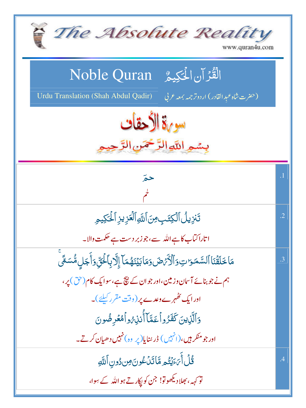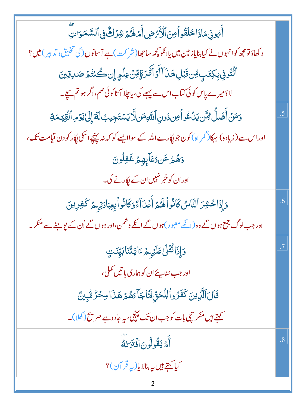| أَمُونِى مَاذَا خَلَقُواً مِنَ ٱلْأَمَ ضِ أَمَ لَهُمْ شِرُكٌّ فِى ٱلسَّمَوَاتِ                            |    |
|-----------------------------------------------------------------------------------------------------------|----|
| د کھاؤتومجھ کوانہوں نے کیابنایاز مین میں یاانکو کچھ ساحھا(شر کٹ) ہے آسانوں( کی تخلیق و تدبیر ) میں ؟      |    |
| ٲڬٛٮٙ۠ۅڹۣڔڮؾؘٮٟٟۊڹۊؘۑٞڸۿڹؘٲٲؙۉٲڷؘڎڒؚۊٟۊڹ؋ڶۄۭٳؚڹۘڂٛؽؿ۠ؽٙۻڔۊؚؾ                                              |    |
| لاؤمیرے پاس کوئی کتاب اس سے پہلے کی، یا چلا آ تاکوئی علم،اگر ہو تم سیچے۔                                  |    |
| وَمَنۡ أَضَلُّ لِمَّن يَدۡكُواۡۖ مِن دُونِ ٱللَّهِ مَن لَّا يَسۡتَجِيبُ لَمَّ إِلَىٰ يَوۡمِ ٱلۡقِيَّـمَةِ | .5 |
| اور اس سے (زیادہ) بہکا(گمر اہ) کون جو پکارے اللہ کے سواایسے کو کہ نہ پننچے اسکی پکار کو دن قیامت تک،      |    |
| وَهُمۡ عَنرُ <i>عَ</i> آبِهِمۡ غَفِلُونَ                                                                  |    |
| اور ان کو خبر نہیں ان کے پکارنے کی۔                                                                       |    |
| وَإِذَا حُشِرَ ٱلنَّاسُ كَانُواْ لَهُمْ أَعۡدَ آَءَدَ كَانُواۡ بِعِبَادَتِهِمۡ كَفِرِينَ                  | .6 |
| اور جب لوگ جمع ہوں گے وہ (انکے معبود )ہوں گے انکے دشمن،اور ہوں گے اُن کے لپو جنے سے منکر ۔                |    |
| <b>وَإِذَاتُتُلَىٰعَلَيۡہِ مِمَّ</b> ءَايَتَنَابَيِّنَتِ                                                  |    |
| اور جب <sub>شن</sub> ا پئے ان کو ہماری با تیں کھلی،                                                       |    |
| قَالَ ٱلَّذِينَ كَفَرُواْ لِلْحَقِّ لَمَّا جَآءَهُمۡ هَذَاسِحۡرٌ مُّبِينٌ                                 |    |
| کہتے ہیں منکر سچی بات کو جب ان تک پہنچی، یہ جادوہے صر میح(کھلا)۔                                          |    |
| أَمْ يَقُولُونَ أَفْتَرَىٰكَ                                                                              | .8 |
| كيا كہتے ہيں ہہ بنالا پا(پہ قر آن)؟                                                                       |    |
|                                                                                                           |    |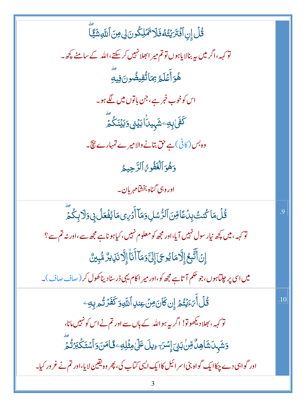| ڐٛڵٙٳڹٲۏ۬ <del>۫ٮ</del> ڗؽؚؾ۠ڡ۠ۏؘڶٳۥ۬ۧۿؘڸػۢۅڹ؈ۣڡؚڹٲڛؖؾڡۣٙ                                                 |     |
|-----------------------------------------------------------------------------------------------------------|-----|
| تو <sub>کہہ</sub> ،اگر میں بیہ بنالا یاہوں تو تم میر ابھلانہیں کرسکتے ،اللہ کے سامنے پچھ۔                 |     |
| ۿؙۊٲؘٛڡؘڶٙٙۿ؉ۣٙ؆ڷؙڤؚؠڞؙٛۅڽؘڣۣۑؖ                                                                           |     |
| اس کوخوب خبر ہے، جن باتوں میں لگے ہو۔                                                                     |     |
| ػۘڣؘۧڸ <sub>ڸ</sub> ڡؚۦٛۺؘ <sub>ڸ</sub> ۑڽؗٲؗٳؠٙؽ۬ؽؚۅؠؘؽؙڹٙػ۠ۿؖ <i>ؖ</i>                                  |     |
| وہ بس (کافی)ہے حق بتانے والامیرے تہمارے پیج۔                                                              |     |
| دَهُوَ ٱلۡغَفُورُ ٱلرَّحِيمُ                                                                              |     |
| اور وہی گناہ بخشامہر بان۔                                                                                 |     |
| ۛڐؙڶٞڡؘٵػ۠ڹٮ <i>ؾ۠</i> ڹؚٮؗٛڡؘۧٲڡؚۨڹؘٱڶڗ۠ۺڸ؋ڡؘٲٲٛڋ <i>ڹ</i> ؚؠڡڡؘٲؽڡؙۛۼڵ؋ۣۏؘڵٳڽؚػؙڡۨٙؖ                    | .9  |
| تو <sub>کہہ</sub> ، میں کچھ نیار سول نہیں آیا،اور مجھ کو معلوم نہیں،کیاہو ناہے مجھ سے،اور نہ تم سے ؟      |     |
| ٳؚڹٲڷؖڹؖۼٳٳؖڐڡؘٵؽۄۘڂؘ]ٙٳ۪ڶۣۜٙۊڡؘٲٲؘڹۧٵ۠ٳۭڷؖٲڹڗۑڒ۠ۺ۠ؠۣؿ۠                                                   |     |
| میں اسی پر جلتاہوں،جو حکم آتاہے مجھ کو،اور میر اکام یہی ڈرسنادیناکھول کر ( صاف صاف )۔                     |     |
| قُلۡ أَٰٓ ءَيۡتُمۡۚ إِن كَانَ مِنۡ عِنلِ ٱللَّهِ وَكَفَرۡ تُم بِهِۦ                                       | .10 |
| تو <sub>کہہ</sub> ، بھلادیکھوتو! اگر <sub>سے</sub> ہو اللہ کے ہاں سے اور تم نے اس کو نہیں مانا،           |     |
| <u>ۅٙۺؘ</u> ؠٮ <i>ٲ</i> ۺؘٳۿؚڵٞ؋ؚڹ <i>ڹ۫ڹٙ</i> ٳۣ <i>ۺڔؔۦ</i> ٟؠڷٵٙڶ؋ؿ۬ڸڡؚٷٙٵڡ <i>ٞڹ</i> ؘۅٲۺؾؘػ۬ڹۯؘڐ۠؞ٙؖ |     |
| اور گواہی دے چکاا یک گواہ بنی اسر ائیل کاایک ایسی کتاب کی، پھر وہ یقین لا یا،اور تم نے غرور کیا۔          |     |
|                                                                                                           |     |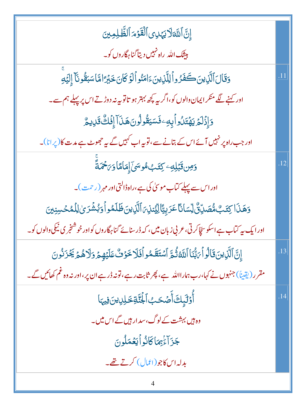| إِنَّ ٱللَّهَلَايَهَدِى ٱلْقَوْمَ ٱلظَّلِمِينَ                                                             |     |
|------------------------------------------------------------------------------------------------------------|-----|
| <mark>بیشک الل</mark> ه راه نهبیں دیتا گناہ گاروں کو۔                                                      |     |
| وَقَالَ ٱلَّذِينَ كَفَرُواْ لِلَّذِينَ ءَامَنُواْ لَوۡ كَانَ خَبْرَ امَّا سَبَقُونَآ إِلَيۡهِ              |     |
| اور کہنے لگے منکر ایمان والوں کو،اگر ریہ پچھ بہتر ہو تاتو بیہ نہ دوڑتے اس پر پہلے ہم سے۔                   |     |
| وَإِذَلَمَ يَهْتَلُواْيِهِ فَسَيَقُولُونَ هَذَآ إِفَكُ قَلِيمٌ                                             |     |
| اور جب راہ پر نہیں آئے اس کے بتانے سے، تو بیہ اب کہیں گے یہ حجھوٹ ہے مدت کا (پر انا)۔                      |     |
| <u>وَمِن قَبْلِهِ</u> ۦ كِتَبُ&سَىٰۤ إِمَامًاوَىَحْمَةً                                                    | .12 |
| اور اس سے پہلے کتاب موسیٰ کی ہے،راہڈالتی اور مہر (رحمت)۔                                                   |     |
| وَهَذَا كِتَبُ مُّصَدِّنٌ لِّسَانَا عَرَبِيَّالِيُّنذِيَ ٱلَّذِينَ ظَلَمُو أُوَبُشُرَىٰ لِلْمُحَسِنِينَ    |     |
| اور ایک بیر کتاب ہے اسکو سچّاکر ٹی، عربی زبان میں ، کہ ڈرسنائے گنا ہگاروں کواور خوشنخبر ی نیکی والوں کو۔   |     |
| إِنَّ ٱلَّذِينَ قَالُوآْ يَبُّنَا ٱللَّهُ ثُمَّ ٱسۡتَقَمُواۡفَلَا خَوۡ ثُ عَلَيۡهِمۡ وَلَاهُمۡ يَخۡزَنُونَ | .13 |
| مقرر (یقیناً) جنہوں نے کہا،رب ہمارااللہ ہے، پھر ثابت رہے،قونہ ڈرہے ان پر،اور نہ وہ غم کھائیں گے۔           |     |
| أُوَّلَبِكَ أَصْحَبُ ٱلْجُنَّةِ خَلِلِينَ فِيهَا                                                           | .14 |
| وہ ہیں بہشت کے لوگ،سد ار ہیں گے اس میں۔                                                                    |     |
| جَزَآءَٰ بِمَاكَانُواۡيَعۡمَلُونَ                                                                          |     |
| بدلہ اس کاجو (اٹمال) کرتے تھے۔                                                                             |     |
|                                                                                                            |     |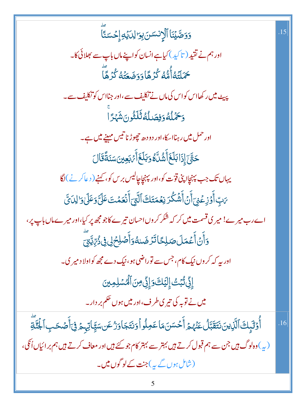| وَوَصَّيۡنَاۚ ٱلۡإِنسَسَ بِوَالِدَيۡهِ إِحۡسَنَآ                                                                    | .15 |
|---------------------------------------------------------------------------------------------------------------------|-----|
| اور ہم نے تقید ( تا کید ) کیاہے انسان کواپنےماں باپ سے بھلائی کا۔                                                   |     |
| <i>ڂ</i> ٙڶؾٙ <i>ڎٲ۠۠ۿ۠ۮ</i> ػ۠ۯۿٙٲۏؘۏؘۻؘۼؘؿ <i>ڎ۠</i> ػ۠ۯۿؖٲؖ                                                      |     |
| پیٹ میں رکھااس کواس کی ماں نے تکلیف سے ،اور جنااس کو تکلیف سے۔                                                      |     |
| وَحَمَّلُهُ وَفِصَلُهُ ثَلَثُونَ شَهْرًا                                                                            |     |
| اور حمل میں رہنااسکا،اور دو دھ چھوڑنا تیس مہینے میں ہے۔                                                             |     |
| <i>ڂۊ۠ۜڹٙ</i> ٳؚۮؘٳڹڶۼؘٲۧۺ۠ڷۜٷۏڹڶۼؘٲٙ <i>؆ڹ</i> ؚۼؾؾؘۺڹؘڐؘۘقؘٵڶ                                                     |     |
| یہاں تک جب پہنچااپنی قوّت کو،اور پہنچاچالیس بر س کو، کہنے ( دعاکر نے )لگا                                           |     |
| <i>؆</i> ڹؚٵؙۧۉٙڔؚ۫ۼۘڹٲۚڽؘٲۨۺ۫ڴۯڹۼڡؘؾؘڬٵڷؾؾٲۧٮ۬ۘۼڡ۫ؾؘٵؘ <i>ؾ۠</i> ؘۅؘٵؘڶۣڗڶڸٮؘٯۜٞ                                   |     |
| اے رب میرے! میر ی قسمت میں کر کہ شکر کروں احسان تیرے کاجو مجھ پر کیا،اور میرےماں باپ پر،                            |     |
| <u>ۅٙ</u> ٲؖڽٙٲؘۜۼڡؘڶؘڞڸػٵ <i>ڐؘۯ۫</i> ۻؘٮڡؗ۠ۏٲۧڞٙڸڂڸ؋ۣۮؙ؆ۣؾۜؾؚؖ                                                    |     |
| اور ىيە كەكروں نىك كام، جس سے توراضى ہو، نىك دے مجھ كواولا د مير ي۔                                                 |     |
| ٳؚڋۣٚڽ۠ڹٛڹؾٛٳ۪ڶؽٙڬؘۏٳؚڋۣٚ؈ؘٲڵۿۺڸڡؚؾ                                                                                 |     |
| میں نے توبہ کی تیر ی <i>طر</i> ف،اور میں ہوں تھم بر دار۔                                                            |     |
| أَوْلَيِكَ ٱلَّذِينَ نَتَقَبَّلُ عَنْهُمْ أَحۡسَنَ مَاعَمِلُواۡوَنتَجَاوَرُۢعَن سَيَّاتِہِمۡ فِیۡأَصۡحَبِٱلۡجُنَّةِ | .16 |
| (پے )وہ لوگ ہیں جن سے ہم قبول کرتے ہیں بہتر سے بہتر کام جو گئے ہیں اور معاف کرتے ہیں ہم بر ائیاں اُنگی،             |     |
|                                                                                                                     |     |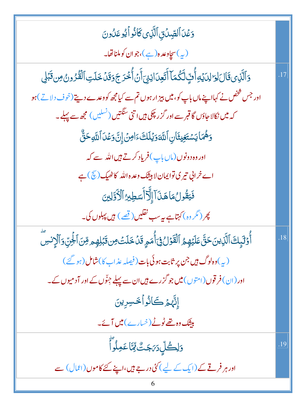وَعۡدَ ٱلصِّدۡدَٰٓنِ ٱلَّذِى كَانُوۡ ٱ یُوعَدُونَ (پ) سچاوعده(ہے)،جوان کوملناتھا۔ دَٱلَّذِى قَالَ لِمَالِدَيۡهِ أُفِّ لَكُمَاۤ أَتَعِدَانِنِىٓ أَنۡ أَخۡدَجَوَقَدۡ حَدَّلَتِ ٱلۡقُرُونُ مِن قَبۡلِ .17 اور جس شخص نے کہااپنےماں باپ کو، **میں بیز ار** ہوں تم سے کیامچھ کو وعدے دیتے (خوف دلاتے) ہو کہ میں نکالا جاؤں گا قبر سے اور گز ر چکی ہیں ا تنی سنگتیں (نسلیں ) مجھ سے پہلے۔ دَهُمَا يَسْتَغِيثَانِ ٱللَّهَ دَيۡلَكَ ءَامِنَ إِنَّ دَعۡلَ ٱللَّهِ حَقٌّ اور وہ دونوں(ماں باپ) فریاد کرتے ہیں اللہ سے کہ اے خرابی تیر کی توایمان لا بیٹک وعدہ اللہ کاٹھیک (ﷺ) ہے فَيَقُولُ مَاهَذَآ إِلَّآ أَسَطِيرُ ٱلْأَوَّلِينَ پھر ( مگر وہ ) کہتاہے ہیرسب نقلیں ( <u>قصے</u> ) ہیں پہلوں کی۔ أَوْلَبِكَ ٱلَّذِينَحَقَّ عَلَيۡهِمُ ٱلۡقَوۡلُ فِىٓأُمَمِ قَدۡ خَلَتۡ مِن قَبۡلِهِم مِّنَ ٱلۡجِنِّ وَٱلۡإِنسَ .18 (په)وه لوگ <del>بي</del>ں جن پر ثابت ہوئی بات (فیصلہ عذاب کا)شامل (ہو گئے ) اور (ان) فر قوں (امتوں) میں جو گزرے ہیں ان سے پہلے جِنّوں کے اور آدمیوں کے۔ إِنَّهِمْ كَانُواْتَحْسِرِينَ بیٹک وہ تھے ٹوٹے (خیارے)میں آئے۔ <u>وَلِ</u>حُلِّ دَىَجَتَّ لِّيَّا عَمِلُواً .19 اور ہر فرقے کے (ایک کے لیے) کئی درجے ہیں،اپنے کئے کاموں (اعمال) سے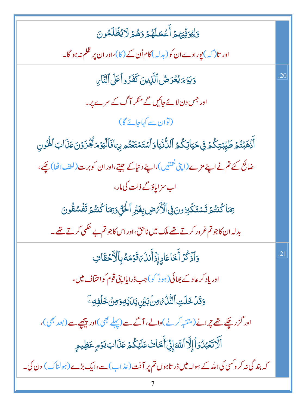| وَلِيُوَفِّيَهُمُ أَعۡمَلَهُمۡ وَهُمۡ لَايُظۡلَمُونَ                                                                 |     |
|----------------------------------------------------------------------------------------------------------------------|-----|
| اور تا $(\mathcal{L})$ بورادےان کو $(\mathcal{L})$ کام اُن کے $(\mathcal{S})$ اور ان پر ظلم نہ ہو گا۔                |     |
| وَيَوْمَ يُعْرَضُ ٱلَّذِينَ كَفَرُواْعَلَى ٱلنَّارِ                                                                  | .20 |
| اور جس دن لائے جائیں گے منکر آگ کے سرے پر۔                                                                           |     |
| (توان سے کہاجائے گا)                                                                                                 |     |
| أَذْهَبۡتُمۡ طَيِّبۡتِكُمۡ فِیۡحَیَاتِكُمُ ٱللَّٰٓنَٰٓیَاوَٱسۡتَمۡتَعۡتُم بِہَافَٱلۡیَوۡمَنۡجُزَوۡنَ عَذَابَٱلۡفُونِ |     |
| ضائع کئے تم نے اپنے مزے (اپنی <sup>نعمت</sup> یں)،اپنے دنیا کے جیتے،اور ان کوبرت (لطف اٹھا) چکے،                     |     |
| اب سزاپاؤگے ذلت کی مار ،                                                                                             |     |
| يَمَا كُنتُمْ تَسْتَكْبِرُونَ فِى ٱلْأَرْضِ بِغَيْرِ ٱلْحَقِّ وَيَمَا كُنتُمْ تَفَسُقُونَ                            |     |
| بدلہ ان کاجو تم غرور کرتے تھے ملک میں ناحق،اور اس کاجو تم بے حکمی کرتے تھے۔                                          |     |
| وَٱذۡ <i>كُرۡ</i> أَخَاعَادٍ إِذۡأَنذَہَ قَوۡمَهُ بِٱلۡأَحۡقَافِ                                                     | .21 |
| اور یاد کر عادے بھائی (ہو ڈ <sup>س</sup> کی)جب ڈرایااپنی قوم کواحقاف میں،                                            |     |
| <u>وَقَلۡ</u> خَلَتِ ٱلتَّٰٓلُّ ُ مِنۡ بَيۡنِ يَدَايۡهِ وَمِنۡ خَلۡفِهِ ۖ                                            |     |
| اور گزر چکے تھے ترانے (متنبہ کرنے)والے، آگے سے (پہلے بھی)اور پیچھے سے (بعد بھی)،                                     |     |
| أَلَاتَعُبُدُوٓاً إِلَّآ اللَّهَ إِنِّىٓأَخَاثُ عَلَيۡكُمۡ عَذَابَ يَوۡمٍ عَظِيمٍ                                    |     |
| کہ بند گی نہ کروکسی کی اللہ کے سوا۔ میں ڈر تاہوں تم پر آفت (عذاب) سے،ایک بڑے (ہولناک) دن کی۔                         |     |
|                                                                                                                      |     |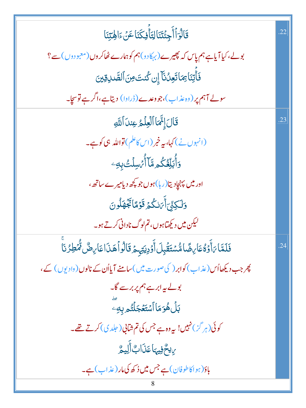| قَالُوَٱأَجِئۡتَنَالِتَأَفِكَنَاعَنَ ءَالِهَتِنَا                                            | .22 |
|----------------------------------------------------------------------------------------------|-----|
| بولے، کیا آیاہے ہم پاس کہ پھیرے (بہکارو)ہم کوہمارے ٹھاکر وں (معبو دوں) سے ؟                  |     |
| فَأَتِنَاءِمَاتَعِدُنَآ إِن كُنتَ مِنَ ٱلصَّدِقِينَ                                          |     |
| سولے آہم پر (وہ عذاب)،جووعدے(ڈراوا) دیتاہے،اگر ہے توسچا۔                                     |     |
| قَالَ إِنَّمَا ٱلۡعِلۡمُ عِندَاۚ اللَّهِ                                                     | .23 |
| (انہوں نے) کہا، بی <i>ہ خبر</i> (اس کا <sup>عل</sup> م) <b>تواللہ</b> ہی کوہے۔               |     |
| <b>ۯٲ۠ڹڵؚڂ۠ػ۠</b> ۄڡۜٙٵۧٲ۠ <i>ڹ۫</i> ڛڶٙٮ۠۠ڹؚ <i>ڢ</i>                                       |     |
| اور میں پہنچادیتا(رہا)ہوں جو کچھ دیامیرے ساتھ،                                               |     |
| <u>و</u> َلَكِنِّيَ أَيَائُكُمُ قَوْمًا تَجُهَلُونَ                                          |     |
| لیکن میں دیکھتاہوں، تم لوگ نادانی کرتے ہو۔                                                   |     |
| فَلَمَّا بَأَوَّةُ عَارِضًا مُّسْتَقَٰبِلَ أَوْدِيَتِهِمْ قَالُواْ هَذَا عَارِضٌ مُّْطِرُنَا | .24 |
| پھر جب دیکھااُس (عذاب) کوابر ( کی صورت میں )سامنے آیااُن کے نالوں (وادیوں ) کے،              |     |
| بولے پہ ابر ہے ہم پر بر سے گا۔                                                               |     |
| <b>بَلۡ هُوَمَا</b> ۤ ٱسۡتَغۡجَلۡتُم بِهِۦ                                                   |     |
| کوئی(ہر گز) نہیں! یہ وہ ہے جس کی تم شابی( جلدی) کرتے تھے۔                                    |     |
| بِ يِحْفِيهَا عَذَابٌ أَلِيمٌ                                                                |     |
| باؤ(ہواکاطوفان)ہے جس میں ڈ کھ کی مار (عذاب)ہے۔                                               |     |
| 8                                                                                            |     |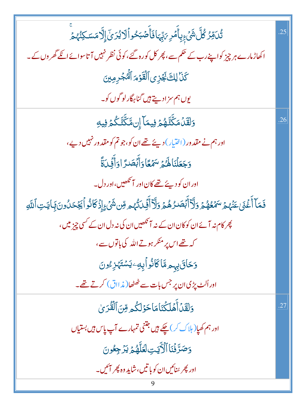| <i>ڐٛۮۊڴڶۜۺؘۨ<sub>ٛػؚ</sub>ڔؚٳٲۧۿؘڔ؆ؚۑٙۨ</i> ؠؘٳڣؘٲۧڞ <i>ڹڂ</i> ۅٲڷٳؽڗؽٙٳٳ۠ڷۿؘڛڮڹ۠ۿۄۨ                                          | 25  |
|--------------------------------------------------------------------------------------------------------------------------------|-----|
| ا کھاڑ مارے ہر چیز کواپنے رب کے حکم سے ، پھر کل کورہ گئے ، کوئی نظر نہیں آ تاسوائے انکے گھروں کے۔                              |     |
| كَذَا لِكَ نَجُزِى ٱلْقَوْمَ ٱلْمُجْرِمِينَ                                                                                    |     |
| یوں ہم سزادیتے ہیں گناہگارلو گوں کو۔                                                                                           |     |
| <u>و</u> َلَقَلۡمَكَّنَّـٰهُمۡ فِيمَآ إِنۥَّكَّنَّـٰكُمۡ فِيهِ                                                                 | .26 |
| اور ہم نے مقد ور (اختیار) دیئے تھے ان کو،جو تم کو مقد ور نہیں دیے،                                                             |     |
| وَجَعَلْنَاهَ هُمَّ سَهُمَّا وَأَبْصَدَّ اوَأَنِّى َةً                                                                         |     |
| اور ان کو دیئے تھے کان اور آ <sup>می</sup> ھیں،اور دل۔                                                                         |     |
| فَمَآ أَغۡنَى عَنۡهُمۡ سَمۡعُهُمۡ وَلَآ أَبۡصَدُهُمۡ وَلَآ أَيۡىٰٓتُهُم مِّن شَىۡۦۚ إِذۡ كَانُو أَيَجۡحَدُونَ بِٓايَتِ ٱللَّهِ |     |
| پھر کام نہ آئے ان کو کان ان کے نہ آنکھیں ان کی نہ دل ان کے کسی چیز میں ،                                                       |     |
| کہ تھے اس پر منکر ہوتے اللہ کی باتوں سے،                                                                                       |     |
| وَحَاقَ بِهِم مَّاكَانُواْبِهِۦ <sub></sub> يَسْتَهْزِءُونَ                                                                    |     |
| اور اُلٹ پڑی ان پر جس بات سے ٹھٹھا( مذ ااق) کرتے تھے۔                                                                          |     |
| وَلَقَدۡ أَهۡلَكۡنَامَاحَوۡلَكُم مِّنَ ٱلۡقُدَىٰ                                                                               | .27 |
| اور ہم کھیا( ہلاک کر) چکے ہیں جتنی تمہارے آپ پاس ہیں بستیاں                                                                    |     |
| وَصَرَّفُنَا ٱلْأَيَتِ لَعَلَّهُمۡ يَرۡ جِعُونَ                                                                                |     |
| اور پھر سُنائیں ان کو با تیں، شاید وہ پھر ائیں۔                                                                                |     |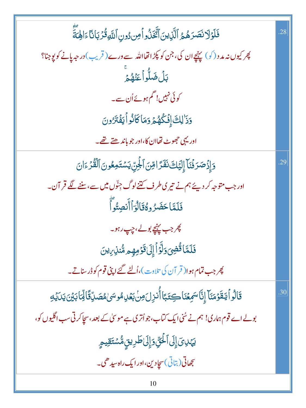| فَلَوْلَانَصَرَهُمُ ٱلَّذِينَ أَتَّخَذُواً مِن دُونِ ٱللَّهِ قُرۡبَانَاۚ ءَالِهَةَ                     | .28 |
|--------------------------------------------------------------------------------------------------------|-----|
| پھر کیوں نہ مد د (کو) پہنچے ان کی، جن کو پکڑ اتھااللہ سے ورے ( قریب) در حیہ یانے کو یوجنا؟             |     |
| ڹڷ <b>ؘڞٙڵؖ</b> ۅٲٝۼؘؠ۠ۿۄۨٙ                                                                            |     |
| کوئی نہیں! گم ہوئے اُن سے۔                                                                             |     |
| وَذَٰ لِكَ إِفۡكُٰهُمۡ وَمَاكَانُواۡ لَيۡفُنَّرُونَ                                                    |     |
| اوریږی حجوٹ تھاان کا،اور جو باند ھتے تھے۔                                                              |     |
| دَ إِذْصَرَفُنَا إِلَيْكَ نَفَرًا مِّنَ ٱلْجِنِّ يَسْتَمِعُونَ ٱلْقُرْءَانَ                            | .29 |
| اور جب متوجہ کر دیئے ہم نے تیری طرف کتنے لوگ جِنّوں میں سے،سننے لگے قر آن۔                             |     |
| فَلَمَّا حَضَرُ وهُقَالُوَأَأَنصِتُواً                                                                 |     |
| پھر جب پہن <u>چ</u> بولے، چپ رہو۔                                                                      |     |
| فَلَمَّا قُضِىَ وَلَّوۡاۡۚ إِلَىٰ قَوۡمِهِم مُّنذِىِ اِنَ                                              |     |
| چر جب تمام ہوا( قر آن کی تلاوت )،اُلٹے گئے اپنی قوم کوڈر سناتے                                         |     |
| قَالُو أَيَنقَوۡمَنَآ إِنَّاسَمِعۡنَا كِتَبَاۤأُنزِلَ٥ِنۡ بَعۡلِمُوسَىٰمُصَدِّقَالِّمَابَيۡنَ يَدَيۡدِ | .30 |
| بولے اے قوم ہماری! ہم نے سُنی ایک کتاب،جواُتری ہے موسیٰ کے بعد ،سچاکرتی سب اگلیوں کو،                  |     |
| يَهْدِيَ إِلَى ٱلْحَقِّ وَإِلَىٰ طَرِيقٍ مُّسْتَقِيمٍ                                                  |     |
| سچھاتی( بتاتی) سچادین،اور ایک راہ سیدھی۔                                                               |     |
|                                                                                                        |     |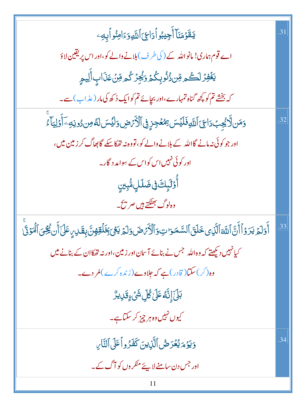| <b>يَقَوْمَنَآ أَجِيبُواْدَاعِ َاْللَّهِوَءَامِنُواْبِهِ</b> ۦ                                                                             | .31 |
|--------------------------------------------------------------------------------------------------------------------------------------------|-----|
| اے قوم ہماری! مانواللہ کے ( کی طرف ) بلانے والے کو،اور اس پر یقین لاؤ                                                                      |     |
| يَغۡفِرۡ لَكُم مِّن ذُنُوبِكُمۡ وَيُجِرۡ كُم مِّنۡ عَذَابِ أَلِيمِ                                                                         |     |
| کہ بخشے تم کو پچھ گناہ تمہارے،اور بچائے تم کوایک دُ کھ کی مار (عذاب) سے۔                                                                   |     |
| وَمَن لَا يُجِبُ دَاعِيَ ٱللَّهِ فَلَيۡسَ مِمۡعَجِزٍ فِى ٱلۡأَرۡصِ وَلَيۡسَ لَهُ مِن دُونِهِۦ ٓ أَوۡلِيَآءَ                                | .32 |
| اور جو کوئی نہ مانے گااللہ کے بلانے والے کو، تووہ نہ تھکاسکے گا بھاگ کر زمین میں،                                                          |     |
| اور کوئی نہیں اس کواس کے سِوامد د گار۔                                                                                                     |     |
| ٲؙٚۏ <i>ٙڷ</i> ؠٟڬ؋ۣۻٙڶڸؚڡ۠ۨڹؚؾۣ                                                                                                           |     |
| وہ <sup>لو</sup> گ بھٹکتے ہیں صر پ <sup>س</sup> ج۔                                                                                         |     |
| أَوَلَمُ يَرَوُاْأَنَّ ٱللَّهَ ٱلَّذِى خَلَقَ ٱلسَّمَوَاتِ وَٱلْأَمَّصَ وَلَمُ يَعۡىَ بِخَلَقِهِنَّ بِقَلِيَ عَلَىٰٓ أَن يُجُىَ ٱلۡمَوۡنَّ | .33 |
| کیانہیں دیکھتے کہ وہ اللہ جس نے بنائے آسان اور زمین،اور نہ تھکاان کے بنانے میں                                                             |     |
| وہ(کر)سکتا( قادر)ہے کہ جلاوے(زندہ کرے)مُ دے۔                                                                                               |     |
| <b>ڹڸٙٳ۪ڹؖ</b> ۠ڡ۠ٵٙڶڴڸ؋ڵۿ <sub>ٷٷ</sub> ؚؾڔؠڒ۠                                                                                            |     |
| کیوں نہیں وہ ہر چیز کر سکتاہے۔                                                                                                             |     |
| وَيَؤْمَ يُعْرَضُ ٱلَّذِينَ كَفَرُواْعَلَى ٱلتَّارِ                                                                                        | .34 |
| اور جس دن سامنے لاپئے منکر وں کو آگ کے۔                                                                                                    |     |
| 11                                                                                                                                         |     |